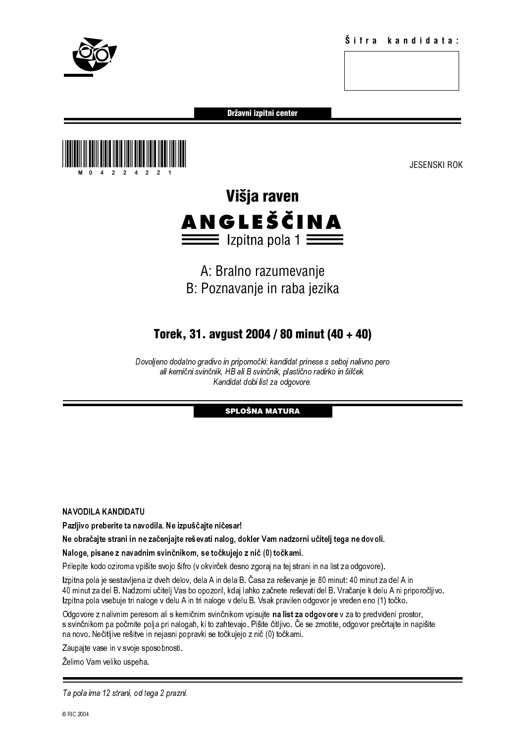

Državni izpitni center



# Višja raven **ANGLEŠČINA**<br>== Izpitna pola 1 ==

# A: Bralno razumevanje B: Poznavanje in raba jezika

# Torek, 31. avgust 2004 / 80 minut (40 + 40)

Dovoljeno dodatno gradivo in pripomočki: kandidat prinese s seboj nalivno pero ali kemični svinčnik, HB ali B svinčnik, plastično radirko in šilček. Kandidat dobi list za odgovore.

### SPLOŠNA MATURA

NAVODILA KANDIDATU

Pazljivo preberite ta navodila. Ne izpuščajte ničesar!

Ne obračajte strani in ne začenjajte reševati nalog, dokler Vam nadzorni učitelj tega ne dovoli.

Naloge, pisane z navadnim svinčnikom, se točkujejo z nič (0) točkami.

Prilepite kodo oziroma vpišite svojo šifro (v okvirček desno zgoraj na tej strani in na list za odgovore).

on the microsofte in the microsofte in the distance of the state of the state of the state of the state of the state of the state of the state of the state of the state of the state of the state of the state of the state Kandidat dobi list za odgovore.<br> **SPLOŠNA MATURA**<br> **SPLOŠNA MATURA**<br> **ali B svinčnikom, se točkujejo z nič (0) točkami.**<br>
avio sifiro (v okvirček desno zgoraj na tej strani in na list za odgovore in šilček. dela A in dela **SPLOŠNA MATURA**<br> **SPLOŠNA MATURA**<br>
ničesar!<br>
nalog, dokler Vam nadzorni<br>
irček desno zgoraj na tej strani<br>
irček desno zgoraj na tej strani<br>
in dela B. Časa za reševanje j<br>
oge v delu B. Vsak pravilen od<br>
vinčnikom vpisuj Izpitna pola je sestavljena iz dveh delov, dela A in dela B. Časa za reševanje je 80 minut: 40 minut za del A in 40 minut za del B. Nadzorni učitelj Vas bo opozoril, kdaj lahko začnete reševati del B. Vračanje k delu A ni priporočljivo. Izpitna pola vsebuje tri naloge v delu A in tri naloge v delu B. Vsak pravilen odgovor je vreden eno (1) točko.

Odgovore z nalivnim peresom ali s kemičnim svinčnikom vpisujte na list za odgovore v za to predvideni prostor, s svinčnikom pa počrnite polja pri nalogah, ki to zahtevajo. Pišite čitljivo. Če se zmotite, odgovor prečrtajte in napišite na novo. Nečitljive rešitve in nejasni popravki se točkujejo z nič (0) točkami.

Zaupajte vase in v svoje sposobnosti.

Želimo Vam veliko uspeha.

Ta pola ima 12 strani, od tega 2 prazni.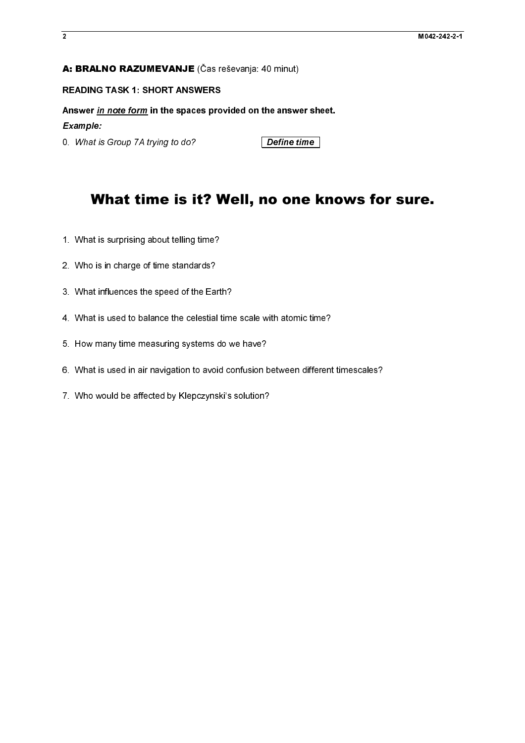### A: BRALNO RAZUMEVANJE (Čas reševanja: 40 minut)

**A: BRALNO RAZUMEVANJE** (Čas reševanja: 40 minut)<br>READING TASK 1: SHORT ANSWERS<br>Answer <u>In note form</u> in the spaces provided on the answer<br>fixemple:<br>0. What is Group 7A trying to do?<br>**What time is it? Well, no on**<br>1. What Mark *in note form* in the spaces pro<br>Example:<br>0. What is Group 7A trying to do?<br>**What time is it? V**<br>1. What is surprising about telling time?<br>2. Who is in charge of time standards?<br>3. What influences the speed of the Ear Answer <u>in note form</u> in the spaces provided on the answer sheet.<br>Example:<br>
O. What is Group 7A trying to do?<br> **What time is it? Well, no one know**<br>
1. What is surprising about telling time?<br>
2. Who is in charge of the spe Example:

# 0. What is Group 7A trying to do? **Define time**<br> **What time is it? Well, no one l**<br>
1. What is surprising about telling time?<br>
2. Who is in charge of time standards?<br>
3. What influences the speed of the Earth?<br>
4. What is What time is it? Well, no one knows for sure.

- 
- 2. Who is in charge of time standards?<br>3. What influences the speed of the Eart<br>4. What is used to balance the celestial<br>5. How many time measuring systems d<br>6. What is used in air navigation to avoid<br>7. Who would be affec
- 3. What influences the speed of the Earth 4. What is used to balance the celestial<br>4. What is used to balance the celestial<br>5. How many time measuring systems<br>6. What is used in air navigation to avoid<br>7. Who would be affe
- 
- 
- 3. What is used to balance the celestial time<br>5. How many time measuring systems do w<br>6. What is used in air navigation to avoid co<br>7. Who would be affected by Klepczynski's 4. What is used in air navigation to avoid confusion between different<br>6. What is used in air navigation to avoid confusion between different<br>7. Who would be affected by Kiepczynski's solution? 5. What is used in air navigation to avoid confusion to avoid confusion to avoid confusion to avoid confusion to avoid confusion to avoid the affected by Klepczynski's solution?
- For the confusion of air navigation to a void confusion between different timescales.<br>7. Who would be affected by Klepczynski's solution? 7. Who would be affected by Klepczynski's solution?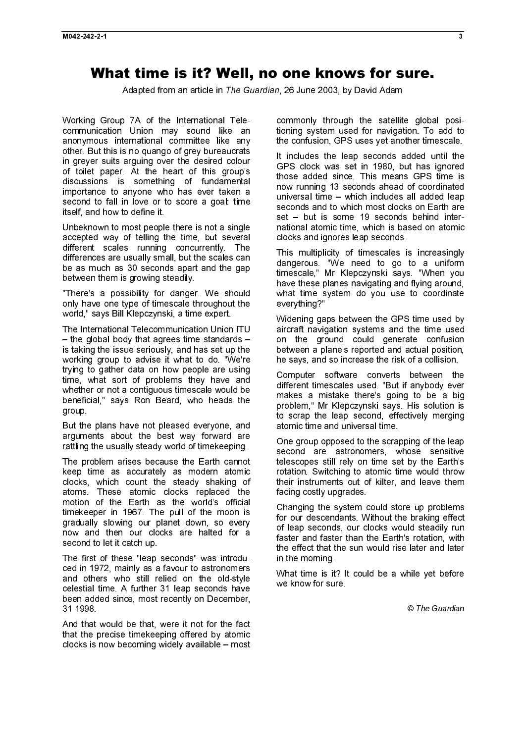## What time is it? Well, no one knows for sure.

Adapted from an article in The Guardian, 26 June 2003, by David Adam

Working Group 7A of the International Telecommunication Union may sound like an anonymous international committee like any other. But this is no quango of grey bureaucrats in greyer suits arguing over the desired colour of toilet paper. At the heart of this group's discussions is something of fundamental importance to anyone who has ever taken a second to fall in love or to score a goal: time itself, and how to define it.

Unbeknown to most people there is not a single accepted way of telling the time, but several different scales running concurrently. The differences are usually small, but the scales can be as much as 30 seconds apart and the gap between them is growing steadily.

"There's a possibility for danger. We should only have one type of timescale throughout the world," says Bill Klepczynski, a time expert.

The International Telecommunication Union ITU – the global body that agrees time standards – is taking the issue seriously, and has set up the working group to advise it what to do. "We're trying to gather data on how people are using time, what sort of problems they have and whether or not a contiguous timescale would be beneficial," says Ron Beard, who heads the group.

But the plans have not pleased everyone, and arguments about the best way forward are rattling the usually steady world of timekeeping.

The problem arises because the Earth cannot keep time as accurately as modern atomic clocks, which count the steady shaking of atoms. These atomic clocks replaced the motion of the Earth as the world's official timekeeper in 1967. The pull of the moon is gradually slowing our planet down, so every now and then our clocks are halted for a second to let it catch up.

The first of these "leap seconds" was introduced in 1972, mainly as a favour to astronomers and others who still relied on the old-style celestial time. A further 31 leap seconds have been added since, most recently on December, 31 1998.

And that would be that, were it not for the fact that the precise timekeeping offered by atomic clocks is now becoming widely available – most commonly through the satellite global positioning system used for navigation. To add to the confusion, GPS uses yet another timescale.

It includes the leap seconds added until the GPS clock was set in 1980, but has ignored those added since. This means GPS time is now running 13 seconds ahead of coordinated universal time – which includes all added leap seconds and to which most clocks on Earth are set – but is some 19 seconds behind international atomic time, which is based on atomic clocks and ignores leap seconds.

This multiplicity of timescales is increasingly dangerous. "We need to go to a uniform timescale," Mr Klepczynski says. "When you have these planes navigating and flying around, what time system do you use to coordinate everything?"

Widening gaps between the GPS time used by aircraft navigation systems and the time used on the ground could generate confusion between a plane's reported and actual position, he says, and so increase the risk of a collision.

Computer software converts between the different timescales used. "But if anybody ever makes a mistake there's going to be a big problem," Mr Klepczynski says. His solution is to scrap the leap second, effectively merging atomic time and universal time.

One group opposed to the scrapping of the leap second are astronomers, whose sensitive telescopes still rely on time set by the Earth's rotation. Switching to atomic time would throw their instruments out of kilter, and leave them facing costly upgrades.

Changing the system could store up problems for our descendants. Without the braking effect of leap seconds, our clocks would steadily run faster and faster than the Earth's rotation, with the effect that the sun would rise later and later in the morning.

What time is it? It could be a while yet before we know for sure.

© The Guardian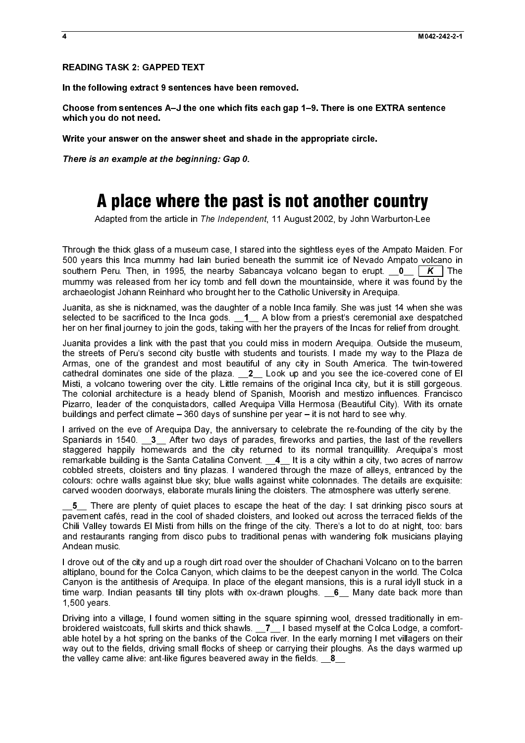### READING TASK 2: GAPPED TEXT

In the following extract 9 sentences have been removed.

Choose from sentences A–J the one which fits each gap 1–9. There is one EXTRA sentence which you do not need.

Write your answer on the answer sheet and shade in the appropriate circle.

There is an example at the beginning: Gap 0.

# A place where the past is not another country

Adapted from the article in The Independent, 11 August 2002, by John Warburton-Lee

Through the thick glass of a museum case, I stared into the sightless eyes of the Ampato Maiden. For 500 years this Inca mummy had lain buried beneath the summit ice of Nevado Ampato volcano in mummy was released from her icy tomb and fell down the mountainside, where it was found by the archaeologist Johann Reinhard who brought her to the Catholic University in Arequipa.

Juanita, as she is nicknamed, was the daughter of a noble Inca family. She was just 14 when she was selected to be sacrificed to the Inca gods. \_\_1\_\_ A blow from a priest's ceremonial axe despatched her on her final journey to join the gods, taking with her the prayers of the Incas for relief from drought.

There is an example at the beginning: Gap 0.<br> **A place where the past**<br>
Adapted from the article in The Independ<br>
Through the thick glass of a museum case, I sta<br>
500 years this Inca mummy had lain buried be<br>
southern Peru southern Peru. Then, in 1995, the marking Sabancaya volcano began to ergit. \_0\_\_ K The matchmologies defined and the control of the calibration of the particle in the nearby Sabancaya volcano began to erupt. Let the contro Juanita provides a link with the past that you could miss in modern Arequipa. Outside the museum, the streets of Peru's second city bustle with students and tourists. I made my way to the Plaza de Armas, one of the grandest and most beautiful of any city in South America. The twin-towered cathedral dominates one side of the plaza. <br>**2** Look up and you see the ice-covered cone of El Misti, a volcano towering over the city. Little remains of the original Inca city, but it is still gorgeous. The colonial architecture is a heady blend of Spanish, Moorish and mestizo influences. Francisco Pizarro, leader of the conquistadors, called Arequipa Villa Hermosa (Beautiful City). With its ornate buildings and perfect climate – 360 days of sunshine per year – it is not hard to see why.

I arrived on the eve of Arequipa Day, the anniversary to celebrate the re-founding of the city by the Spaniards in 1540. **3** After two days of parades, fireworks and parties, the last of the revellers staggered happily homewards and the city returned to its normal tranquillity. Arequipa's most remarkable building is the Santa Catalina Convent. \_\_4\_\_ It is a city within a city, two acres of narrow cobbled streets, cloisters and tiny plazas. I wandered through the maze of alleys, entranced by the colours: ochre walls against blue sky; blue walls against white colonnades. The details are exquisite: carved wooden doorways, elaborate murals lining the cloisters. The atmosphere was utterly serene.

**5** There are plenty of quiet places to escape the heat of the day: I sat drinking pisco sours at pavement cafés, read in the cool of shaded cloisters, and looked out across the terraced fields of the Chili Valley towards El Misti from hills on the fringe of the city. There's a lot to do at night, too: bars and restaurants ranging from disco pubs to traditional penas with wandering folk musicians playing Andean music.

I drove out of the city and up a rough dirt road over the shoulder of Chachani Volcano on to the barren altiplano, bound for the Colca Canyon, which claims to be the deepest canyon in the world. The Colca Canyon is the antithesis of Arequipa. In place of the elegant mansions, this is a rural idyll stuck in a time warp. Indian peasants till tiny plots with ox-drawn ploughs. \_\_6\_\_ Many date back more than 1,500 years.

Driving into a village, I found women sitting in the square spinning wool, dressed traditionally in embroidered waistcoats, full skirts and thick shawls. \_\_7\_\_ I based myself at the Colca Lodge, a comfortable hotel by a hot spring on the banks of the Colca river. In the early morning I met villagers on their way out to the fields, driving small flocks of sheep or carrying their ploughs. As the days warmed up the valley came alive: ant-like figures beavered away in the fields.  $8 \_ 8$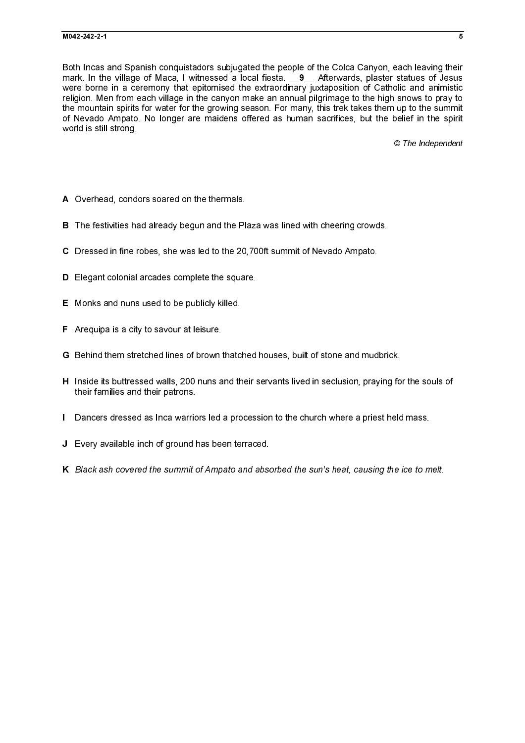Both Incas and Spanish conquistadors subjugated the people of the Colca Canyon, each leaving their mark. In the village of Maca, I witnessed a local fiesta.  $\qquad \qquad 9 \qquad$  Afterwards, plaster statues of Jesus mark. In the village of Maca, I will ressed a local fiesta. \_\_9\_ Afterwards, statist statues of Jesus<br>were born in a coremony that epidemical the extunctionary juxtaposition to Calpbelic and animatic<br>were born an afterward were borne in a ceremony that epitomised the extraordinary juxtaposition of Catholic and animistic religion. Men from each village in the canyon make an annual pilgrimage to the high snows to pray to the mountain spirits for water for the growing season. For many, this trek takes them up to the summit of Nevado Ampato. No longer are maidens offered as human sacrifices, but the belief in the spirit world is still strong.

© The Independent

- 
- 
- 
- 
- 
- 
- 
- A Overhead, condors soared on the thermals.<br>B The festivities had already begun and the PI<br>C Dressed in fine robes, she was led to the 20.<br>D Elegant colonial arcades complete the square<br>E Monks and nuns used to be publicly B The festivities had already begun and the Plaza was lined with cheering crowds.<br>C Dressed in fine robes, she was led to the 20.700ft summit of Newado Ampato.<br>D Elegant colonial arcades complete the square.<br>E Monks and nu C Dressed in fine robes, she was led to the 20,700ft summit of Nevado Ampato.<br>D. Elegant colonial arcades complete the square.<br>E. Monks and nuns used to be publicly killed.<br>F. Arequipa is a city to savour at leisure.<br>G. Be De Elegant colonial arcades complete the square.<br>
E Monks and nuns used to be publicly killed.<br>
F Arequipa is a city to savour at leisure.<br>
G Behind them stretched lines of brown thatched<br>
H Inside its buttressed walls, 20 E Monks and nuns used to be publicly killed.<br>
F Arequipa is a city to savour at leisure.<br>
G Behind them stretched lines of brown that<br>
H Inside its buttressed walls, 200 nuns and the their families and their patrons.<br>
I Da F Arequipa is a city to savour at leisure.<br>
G Behind them stretched lines of brown the list of brown the manifestance of the manifest and their patrons.<br>
I Dancers dressed as lnca warriors led :<br>
J Every available inch of G Behind them stretched lines of brown thatched houses, built of stone and mudbrick.<br>H Inside its buttressed walls, 200 nuns and their servants lived in seclusion, praying fo<br>their families and their patrons.<br>Dencers dress H Inside its buttressed walls, 200 nuns and their servants lived in seclusion, praying for the souls of<br>their families and their patrons.<br>I Dancers dressed as Inca warriors led a procession to the church where a priest hel their families and their patrons.
- 
- 
- I Dancers dressed as Inca warriors led a procession to the church where a priest held mass.<br>J Every available inch of ground has been terraced.<br>K Black ash covered the summit of Ampato and absorbed the sun's heat, causing **J** Every available inch of ground has been terraced.<br>K Black ash covered the summit of Ampato and absocked the summit of Ampato and absocked in the summit of Ampato and absocked in the summit of Ampato and absocked in the K Black ash covered the summit of Ampato and absorbed the sun's heat, causing the ice to melt.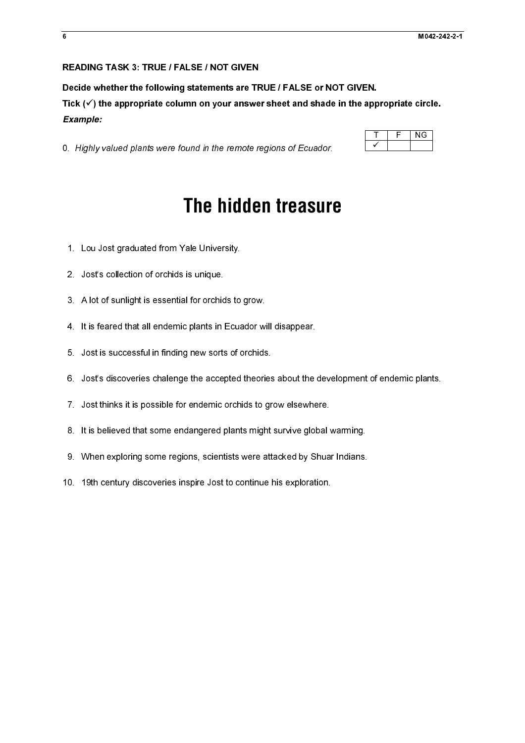### READING TASK 3: TRUE / FALSE / NOT GIVEN

Decide whether the following statements are TRUE / FALSE or NOT GIVEN.

Tick  $(\checkmark)$  the appropriate column on your answer sheet and shade in the appropriate circle. *Example:* 

0. Highly valued plants were found in the remote regions of Ecuador.

# 0. Highly valued plants were found in the remote regions of Ecuador.<br>
The hidden treasuring<br>
1. Lou Jost graduated from Yale University.<br>
2. Jost's collection of orchids is unique<br>
3. A lot of sunlight is essential for orc **The hidden treasure**

- 1. Lou Jost graduated from Yale University.
- 2. Jost's collection of orchids is unique.
- 3. A lot of sunlight is essential for orchids to grow.
- 4. It is feared that all endemic plants in Ecuador will disappear.
- 5. Jost is successful in finding new sorts of orchids.
- 6. Jost's discoveries chalenge the accepted theories about the development of endemic plants.
- 7. Jost thinks it is possible for endemic orchids to grow elsewhere.
- 8. It is believed that some endangered plants might survive global warming.
- 9. When exploring some regions, scientists were attacked by Shuar Indians.
- 10. 19th century discoveries inspire Jost to continue his exploration.

| c. | NG. |
|----|-----|
|    |     |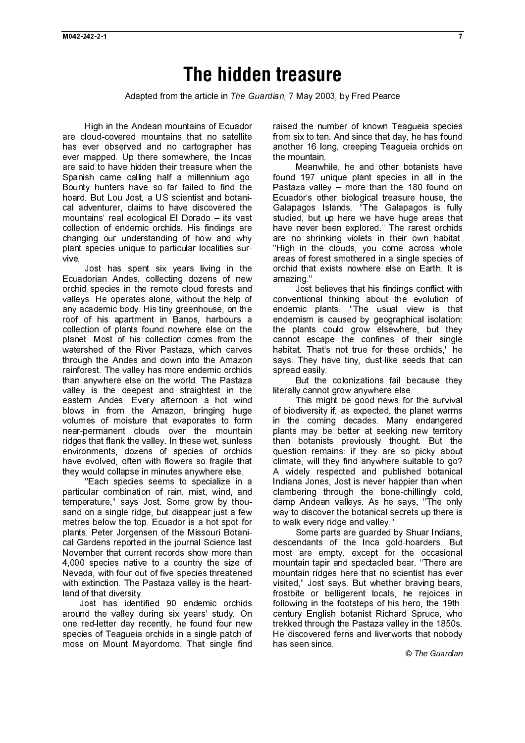# **The hidden treasure**

Adapted from the article in The Guardian, 7 May 2003, by Fred Pearce

High in the Andean mountains of Ecuador are cloud-covered mountains that no satellite has ever observed and no cartographer has ever mapped. Up there somewhere, the Incas are said to have hidden their treasure when the Spanish came calling half a millennium ago. Bounty hunters have so far failed to find the hoard. But Lou Jost, a US scientist and botanical adventurer, claims to have discovered the mountains' real ecological El Dorado – its vast collection of endemic orchids. His findings are changing our understanding of how and why plant species unique to particular localities survive.

Jost has spent six years living in the Ecuadorian Andes, collecting dozens of new orchid species in the remote cloud forests and valleys. He operates alone, without the help of any academic body. His tiny greenhouse, on the roof of his apartment in Banos, harbours a collection of plants found nowhere else on the planet. Most of his collection comes from the watershed of the River Pastaza, which carves through the Andes and down into the Amazon rainforest. The valley has more endemic orchids than anywhere else on the world. The Pastaza valley is the deepest and straightest in the eastern Andes. Every afternoon a hot wind blows in from the Amazon, bringing huge volumes of moisture that evaporates to form near-permanent clouds over the mountain ridges that flank the valley. In these wet, sunless environments, dozens of species of orchids have evolved, often with flowers so fragile that they would collapse in minutes anywhere else.

''Each species seems to specialize in a particular combination of rain, mist, wind, and temperature,'' says Jost. Some grow by thousand on a single ridge, but disappear just a few metres below the top. Ecuador is a hot spot for plants. Peter Jorgensen of the Missouri Botanical Gardens reported in the journal Science last November that current records show more than 4,000 species native to a country the size of Nevada, with four out of five species threatened with extinction. The Pastaza valley is the heartland of that diversity.

Jost has identified 90 endemic orchids around the valley during six years' study. On one red-letter day recently, he found four new species of Teagueia orchids in a single patch of moss on Mount Mayordomo. That single find

raised the number of known Teagueia species from six to ten. And since that day, he has found another 16 long, creeping Teagueia orchids on the mountain.

Meanwhile, he and other botanists have found 197 unique plant species in all in the Pastaza valley – more than the 180 found on Ecuador's other biological treasure house, the Galapagos Islands. ''The Galapagos is fully studied, but up here we have huge areas that have never been explored.'' The rarest orchids are no shrinking violets in their own habitat. ''High in the clouds, you come across whole areas of forest smothered in a single species of orchid that exists nowhere else on Earth. It is amazing.''

Jost believes that his findings conflict with conventional thinking about the evolution of endemic plants. ''The usual view is that endemism is caused by geographical isolation: the plants could grow elsewhere, but they cannot escape the confines of their single habitat. That's not true for these orchids,'' he says. They have tiny, dust-like seeds that can spread easily.

But the colonizations fail because they literally cannot grow anywhere else.

This might be good news for the survival of biodiversity if, as expected, the planet warms in the coming decades. Many endangered plants may be better at seeking new territory than botanists previously thought. But the question remains: if they are so picky about climate, will they find anywhere suitable to go? A widely respected and published botanical Indiana Jones, Jost is never happier than when clambering through the bone-chillingly cold, damp Andean valleys. As he says, ''The only way to discover the botanical secrets up there is to walk every ridge and valley.''

Some parts are guarded by Shuar Indians. descendants of the Inca gold-hoarders. But most are empty, except for the occasional mountain tapir and spectacled bear. ''There are mountain ridges here that no scientist has ever visited,'' Jost says. But whether braving bears, frostbite or belligerent locals, he rejoices in following in the footsteps of his hero, the 19thcentury English botanist Richard Spruce, who trekked through the Pastaza valley in the 1850s. He discovered ferns and liverworts that nobody has seen since.

© The Guardian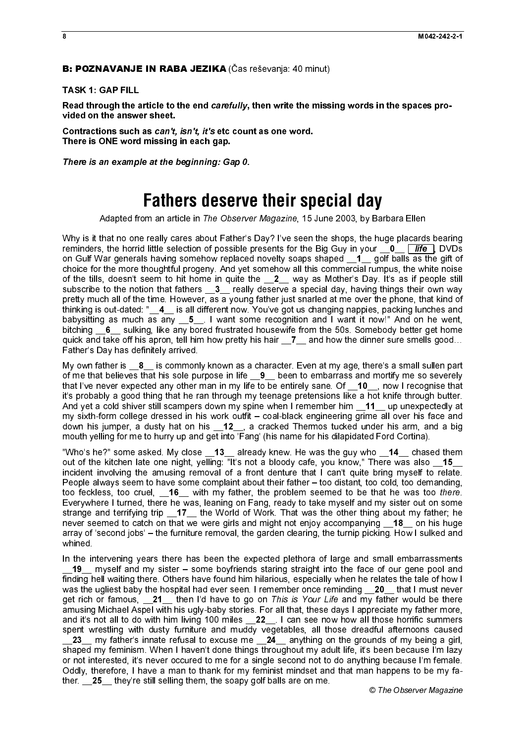### TASK 1: GAP FILL

vided on the answer sheet.

There is ONE word missing in each gap.

# **Fathers deserve their special day**

**E: POZNAVANJE IN RABA JEZIKA** (Čas reševanja: 40 minut)<br>TASK 1: GAP FILL<br>
Read through the article to the end *cardully*, then write the miss<br>
Read through the article to the end *cardully*, then write the miss<br>
Contracti Why is it that no one really cares about Father's Day? I've seen the shops, the huge placards bearing reminders, the horrid little selection of possible presents for the Big Guy in your  $\overline{\phantom{a}}0$   $\overline{\phantom{a}}$   $\overline{\phantom{a}}$ on Gulf War generals having somehow replaced novelty soaps shaped  $\overline{1}$  golf balls as the gift of choice for the more thoughtful progeny. And yet somehow all this commercial rumpus, the white noise of the tills, doesn't seem to hit home in quite the \_\_2\_\_ way as Mother's Day. It's as if people still subscribe to the notion that fathers **3** really deserve a special day, having things their own way pretty much all of the time. However, as a young father just snarled at me over the phone, that kind of thinking is out-dated: "\_\_4\_\_ is all different now. You've got us changing nappies, packing lunches and babysitting as much as any  $\underline{\hspace{1mm}}$  5  $\underline{\hspace{1mm}}$  I want some recognition and I want it now!" And on he went, bitching **6** sulking, like any bored frustrated housewife from the 50s. Somebody better get home quick and take off his apron, tell him how pretty his hair 17 and how the dinner sure smells good... Father's Day has definitely arrived.

My own father is  $\,$  8  $\,$  is commonly known as a character. Even at my age, there's a small sullen part of me that believes that his sole purpose in life \_\_9\_\_ been to embarrass and mortify me so severely that I've never expected any other man in my life to be entirely sane. Of 10\_, now I recognise that it's probably a good thing that he ran through my teenage pretensions like a hot knife through butter. And vet a cold shiver still scampers down my spine when I remember him \_\_11\_\_ up unexpectedly at my sixth-form college dressed in his work outfit – coal-black engineering grime all over his face and down his jumper, a dusty hat on his \_12\_, a cracked Thermos tucked under his arm, and a big mouth yelling for me to hurry up and get into 'Fang' (his name for his dilapidated Ford Cortina).

"Who's he?" some asked. My close \_\_13\_\_ already knew. He was the guy who \_\_14\_\_ chased them out of the kitchen late one night, yelling: "It's not a bloody cafe, you know," There was also 15\_ incident involving the amusing removal of a front denture that I can't quite bring myself to relate. People always seem to have some complaint about their father – too distant, too cold, too demanding, Everywhere I turned, there he was, leaning on Fang, ready to take myself and my sister out on some strange and terrifying trip \_17\_ the World of Work. That was the other thing about my father; he never seemed to catch on that we were girls and might not enjoy accompanying \_\_18\_ on his huge array of 'second jobs' – the furniture removal, the garden clearing, the turnip picking. How I sulked and whined.

Read through the article to the end carefully, then write the missing words in the spaces pro-<br>
Contractions such as compliant to the end carefully, then write the missing words in the spaces pro-<br>
Contractions such as co Contractions such as can't, isn't, it's etc count as one word.<br>Contractions such as can't, isn't, it's etc count as one word.<br>There is one word missing in each gap.<br>
There is an example at the beginning: Gap 0.<br>
Fatheres i There is an example at the beginning: Gap 0.<br>
Fathers described from an article in The Observe<br>
Why is it that no one really cares about Father's<br>
reminders, the horrid little selection of possible profile<br>
con Gulf War ge Adapted from an article in The Observer Magazine, 15 June 2003, by Barbara Ellen<br>
that no one reality cares about Father's Day? Ive seen the shops, the huge placar<br>the place of the Signary And yiel someone all the observe remnies: the horrid little selection of possible presents for the Big Guy in your \_0 \_ liftle in the bottom of the Big Guy in your \_0 \_ liftle the horrid little selection of the former than common can then the horse for t too feckless, too cruel,  $\frac{16}{16}$  with my father, the problem seemed to be that he was to there.<br>Everywhere it turned, there he was, leaning on Fang, ready to take myself and my sister out on some<br>strange and terrifyin In the intervening years there has been the expected plethora of large and small embarrassments 19\_ myself and my sister – some boyfriends staring straight into the face of our gene pool and finding hell waiting there. Others have found him hilarious, especially when he relates the tale of how I was the ugliest baby the hospital had ever seen. I remember once reminding  $\_\,\!\_2$ 0  $\_\!\!\_$  that I must never get rich or famous,  $\frac{21}{\mu}$  then I'd have to go on This is Your Life and my father would be there amusing Michael Aspel with his ugly-baby stories. For all that, these days I appreciate my father more, and it's not al get rich or famous, 121 then I'd have to go on This is Your Life and my father would be there<br>amusing Michael Aspel with his ugly-baby stories. For all that, these days I appreciate my father more, and it's not all to do with him living 100 miles \_\_22\_\_. I can see now how all those horrific summers spent wrestling with dusty furniture and muddy vegetables, all those dreadful afternoons caused  $\_\,\_\,\_\,\_\,\_\,\_\,\_\,\_\,\_\,\_\$  my father's innate refusal to excuse me  $\_\,\_\,\_\,\_\,\_\,\_\,\_\,\_\,\_\,\_\,\_\,\_\,$  the grounds of my being a girl, shaped my feminism. When I haven't done things throughout my adult life, it's been because I'm lazy or not interested, it's never occured to me for a single second not to do anything because I'm female. Oddly, therefore, I have a man to thank for my feminist mindset and that man happens to be my father. **25** they're still selling them, the soapy golf balls are on me.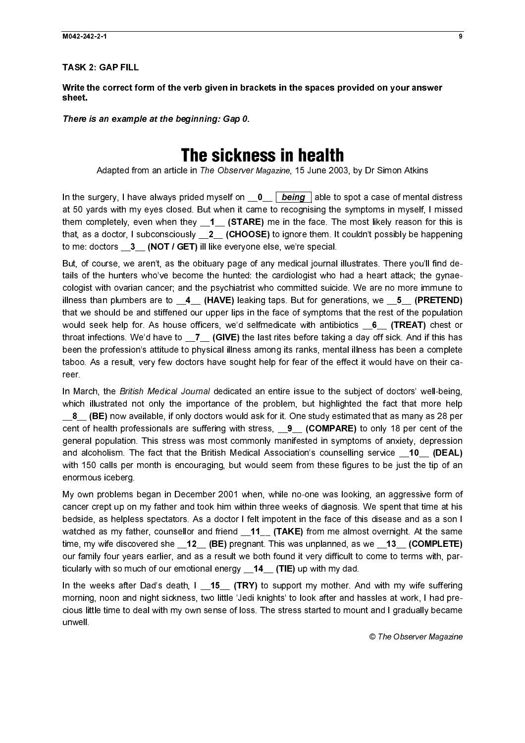TASK 2: GAP FILL

Write the correct form of the verb given in brackets in the spaces provided on your answer sheet.

There is an example at the beginning: Gap 0.

# The sickness in health

Adapted from an article in The Observer Magazine, 15 June 2003, by Dr Simon Atkins

at 50 yards with my eyes closed. But when it came to recognising the symptoms in myself, I missed them completely, even when they \_1\_ (STARE) me in the face. The most likely reason for this is that, as a doctor, I subconsciously  $\_2\_$  (CHOOSE) to ignore them. It couldn't possibly be happening to me: doctors  $\begin{array}{cc} 3 & {\bf (NOT / GET)}$  ill like everyone else, we're special.

There is an example at the beginning: Gap 0.<br>
The Sickn<br>
Adapted from an article in The Observer<br>
In the surgery, I have always prided myself on  $\frac{1}{\sqrt{10}}$ <br>
In the surgery, I have always prided myself on  $\frac{1}{\sqrt{10}}$ <br> In the surgery, I mate always proted myself on .  $\Box$  <u>Being</u> plate to spot a case of mental distress<br>that by any spread my spot and when it came to recognising the symptoms in myself. In these<br>that as a doctor, I subcons But, of course, we aren't, as the obituary page of any medical journal illustrates. There you'll find details of the hunters who've become the hunted: the cardiologist who had a heart attack; the gynaecologist with ovarian cancer; and the psychiatrist who committed suicide. We are no more immune to illness than plumbers are to  $\underline{\phantom{a}}$  (HAVE) leaking taps. But for generations, we  $\underline{\phantom{a}}$  5 (PRETEND) that we should be and stiffened our upper lips in the face of symptoms that the rest of the population would seek help for. As house officers, we'd selfmedicate with antibiotics  $6$  (TREAT) chest or throat infections. We'd have to  $Z$  (GIVE) the last rites before taking a day off sick. And if this has been the profession's attitude to physical illness among its ranks, mental illness has been a complete taboo. As a result, very few doctors have sought help for fear of the effect it would have on their career.

In March, the British Medical Journal dedicated an entire issue to the subject of doctors' well-being, which illustrated not only the importance of the problem, but highlighted the fact that more help **8** (BE) now available, if only doctors would ask for it. One study estimated that as many as 28 per cent of health professionals are suffering with stress,  $\qquad 9 \qquad$  (COMPARE) to only 18 per cent of the general population. This stress was most commonly manifested in symptoms of anxiety, depression and alcoholism. The fact that the British Medical Association's counselling service **10 (DEAL)** with 150 calls per month is encouraging, but would seem from these figures to be just the tip of an enormous iceberg.

My own problems began in December 2001 when, while no-one was looking, an aggressive form of cancer crept up on my father and took him within three weeks of diagnosis. We spent that time at his bedside, as helpless spectators. As a doctor I felt impotent in the face of this disease and as a son I watched as my father, counsellor and friend \_11\_ (TAKE) from me almost overnight. At the same time, my wife discovered she \_\_12\_\_ (BE) pregnant. This was unplanned, as we \_\_13\_\_ (COMPLETE) our family four years earlier, and as a result we both found it very difficult to come to terms with, particularly with so much of our emotional energy **14** (TIE) up with my dad.

In the weeks after Dad's death, I \_\_15\_\_ (TRY) to support my mother. And with my wife suffering morning, noon and night sickness, two little 'Jedi knights' to look after and hassles at work, I had precious little time to deal with my own sense of loss. The stress started to mount and I gradually became unwell.

© The Observer Magazine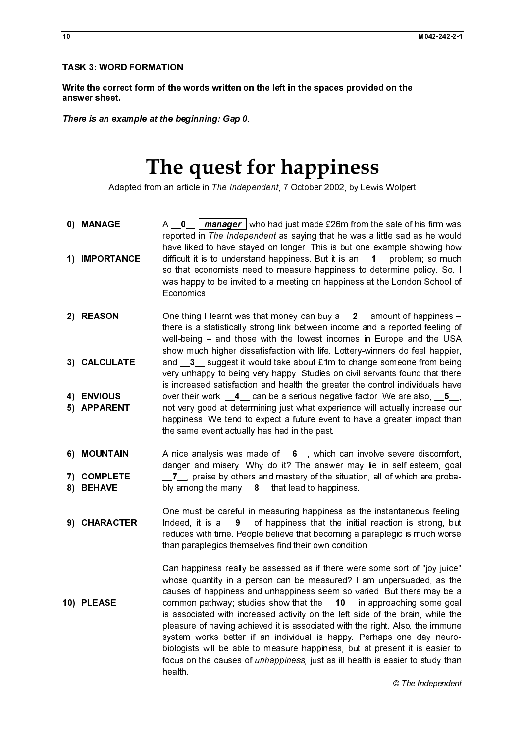$\frac{1}{2}$ 

# The quest for happiness

Adapted from an article in The Independent, 7 October 2002, by Lewis Wolpert

- reported in The Independent as saying that he was a little sad as he would have liked to have stayed on longer. This is but one example showing how so that economists need to measure happiness to determine policy. So, I was happy to be invited to a meeting on happiness at the London School of Economics.
- Write the correct form of the values<br>
There is an example at the be<br>
There is an example at the be<br>
The C<br>
Adapted from an art<br>
0)<br>
MANAGE<br>
2)<br>
MANAGE<br>
1) IMPORTANCE<br>
difficuse<br>
1)<br>
MPORTANCE<br>
2)<br>
REASON<br>
2)<br>
2)<br>
REASON<br>
2 answersheet.<br>
The quest for happiness<br>
Magnet form an anticle in The *bootpendent* 7 October 2002, by Lewis Wojner<br>
(and the correct on The independent as a sign that is a sign that we say that the space set in the space There is an examples<br>Ada<br>(1) IMPORTA<br>(1) IMPORTA<br>(2) REASON<br>(3) CALCULA<br>(4) ENVIOUS<br>(5) APPAREN<br>(6) MOUNTA<br>(7) COMPLET<br>(8) BEHAVE<br>(9) CHARACT<br>(9) CHARACT **The quest Hermannia**<br>
MANAGE Adapted from an article in *The Indep*<br> **O)** MANAGE A  $-0$   $\frac{0}{\text{m} \text{anager}}$  is reported in *The Indep*<br> **11** IMPORTANCE difficult it is to understing that example liked to have stay<br>
was ha 1) IMPORTA<br>
2) REASON<br>
3) CALCULA<br>
4) ENVIOUS<br>
5) APPAREN<br>
6) MOUNTAI<br>
7) COMPLET<br>
8) BEHAVE<br>
9) CHARACT<br>
10) PLEASE 2) REASON<br>
3) CALCULATE<br>
4) ENVIOUS<br>
5) APPARENT<br>
6) MOUNTAIN<br>
7) COMPLETE<br>
8) BEHAVE<br>
9) CHARACTER<br>
10) PLEASE 3) CALCULA<br>4) ENVIOUS<br>5) APPAREM<br>6) MOUNTAI<br>7) COMPLET<br>8) BEHAVE<br>9) CHARAC A  $\_\_$  (*manager*) who had just made £26m from the sale of his firm was alled be a higher than the sale of his firm was likeled as the worldwe liked to have stayed on longer. This is but one example a browing how that ex difficult it is to understand happiness. But it is an  $\_1$  problem; so much mot<br>so that economists need to measure happiness to determine poicy. So, I<br>was happy to be invited to a meeting on happiness at the London Schoo One thing I learnt was that money can buy a  $\frac{2}{2}$  amount of happiness –<br>there is a statistically strong link between income and a reported feeling of<br>well-being – and those with the lowest incomes in Europe and the US there is a statistically strong link between income and a reported feeling of well-being – and those with the lowest incomes in Europe and the USA show much higher dissatisfaction with life. Lottery-winners do feel happier, very unhappy to being very happy. Studies on civil servants found that there is increased satisfaction and health the greater the control individuals have not very good at determining just what experience will actually increase our happiness. We tend to expect a future event to have a greater impact than the same event actually has had in the past.
- danger and misery. Why do it? The answer may lie in self-esteem, goal
- One must be careful in measuring happiness as the instantaneous feeling. reduces with time. People believe that becoming a paraplegic is much worse than paraplegics themselves find their own condition.
- $\overline{1}$   $\overline{1}$  4) ENVIOUS<br>5) APPARENT<br>6) MOUNTAIN<br>7) COMPLETE<br>8) BEHAVE<br>9) CHARACTER<br>10) PLEASE 5) APPAREN<br>6) MOUNTAI<br>7) COMPLET<br>8) BEHAVE<br>9) CHARACT 6) MOUNTAIN<br>7) COMPLETE<br>8) BEHAVE<br>9) CHARACTEI<br>10) PLEASE 7) COMPLETE<br>8) BEHAVE<br>9) CHARACTE<br>10) PLEASE 8) BEHAVE<br>9) CHARACTEI<br>10) PLEASE 9) CHARAC<br>9) CHARAC<br>10) PLEASE 10) PLEASE<br>10) PLEASE  $\frac{1}{2}$  $\frac{1}{2}$  $\begin{bmatrix} 1 \\ 1 \end{bmatrix}$  $\frac{1}{2}$  $\frac{1}{2}$  $\overline{a}$ 10) PLEASE<br>10) PLEASE<br>10) PLEASE and  $\overline{3}$  suggest it would take about  $\overline{4}$  in to change somene from being<br>over their over the since asset statistic word to the since about  $\overline{4}$  is increased satisfaction and health the greater the control indi over their work.  $\underline{\mathbf{A}}_c$  can be a serious negative factor. We are also,  $\underline{\mathbf{S}}_p$ ,  $\overline{\mathbf{S}}_p$  can be a serious negative factor. We are also,  $\underline{\mathbf{C}}_p$  happiness. We tend to expect a future event to have a A nice analysis was made of  $\underline{6}$ , which can involve severe discomfort,<br>
danger and missery. Why to ti? The answer may lie in self-esteem, goal<br>
bly among the many  $\underline{8}$ , that lead to happiness.<br>
One must be careful  $\overline{J}$  or praise by others and mastery of the situation, all of which are proba-<br>bly among the many  $\underline{.8}$  that lead to happiness.<br>One must be careful in measuring happiness as the instantaneous feeling.<br>Indeed, it i bly among the many  $\underline{\hspace{0.1cm}} 8$  that lead to happiness.<br>One must be careful in measuring happiness as the<br>Indeed, it is a  $\underline{\hspace{0.1cm}} 9$  of happiness that the initia<br>reduces with time. People believe that becoming a Indeed, it is a  $\_\_9$  of happiness that the initial reaction is strong, but<br>reduces with time. People believe that becoming a paraplegic is much worse<br>than paraplegics themselves find their own condition.<br>Can happiness r Can happiness really be assessed as if there were some sort of "joy juice" whose quantity in a person can be measured? I am unpersuaded, as the causes of happiness and unhappiness seem so varied. But there may be a common pathway; studies show that the  $\_10$  in approaching some goal<br>is associated with increased activity on the left side of the brain, while the<br>pleasure of having achieved it is associated with the right. Also, the i is associated with increased activity on the left side of the brain, while the pleasure of having achieved it is associated with the right. Also, the immune system works better if an individual is happy. Perhaps one day neurobiologists will be able to measure happiness, but at present it is easier to focus on the causes of unhappiness, just as ill health is easier to study than health.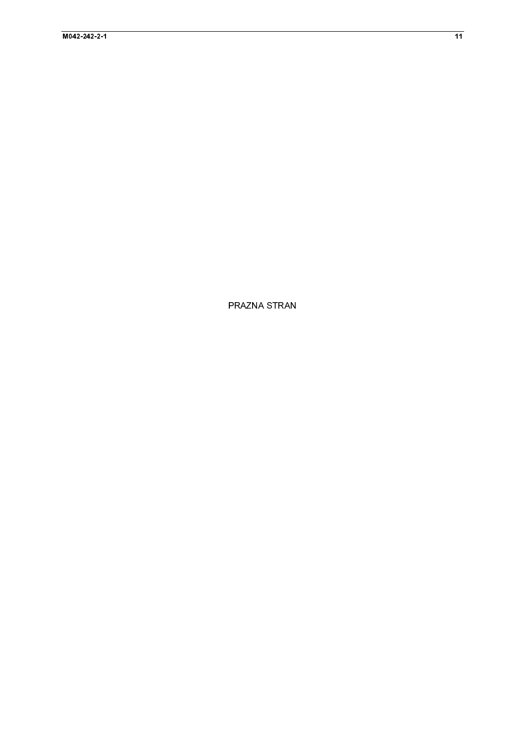PRAZNA STRAN